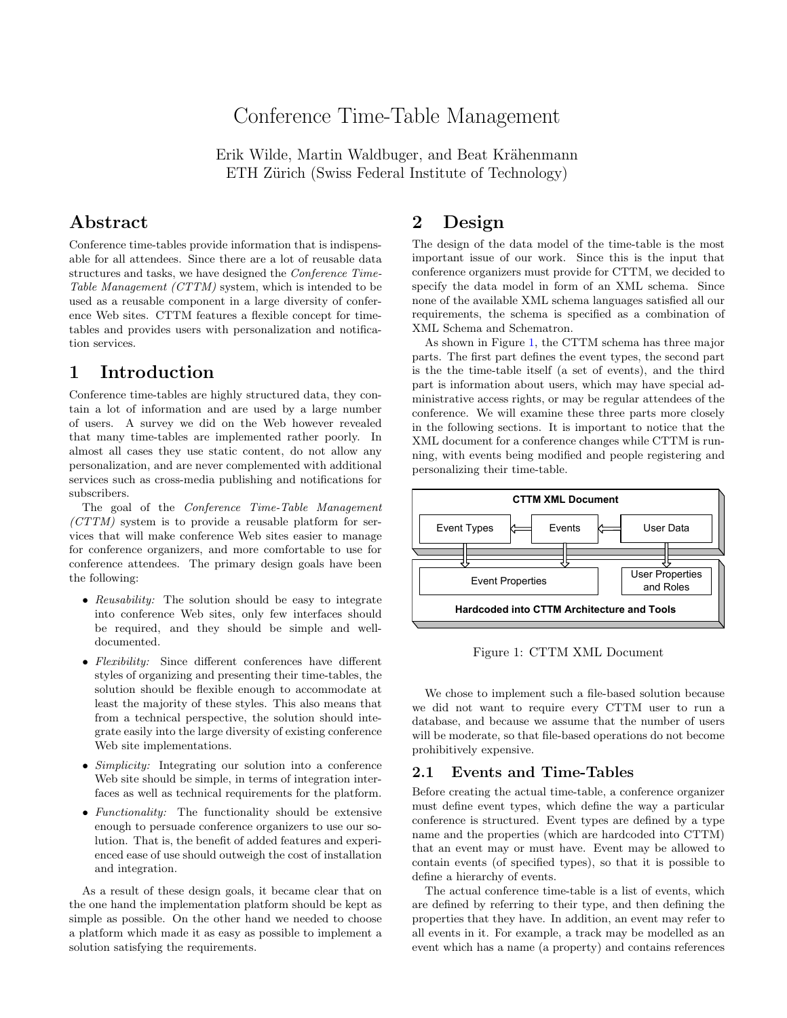# Conference Time-Table Management

Erik Wilde, Martin Waldbuger, and Beat Krähenmann ETH Zürich (Swiss Federal Institute of Technology)

### Abstract

Conference time-tables provide information that is indispensable for all attendees. Since there are a lot of reusable data structures and tasks, we have designed the Conference Time-Table Management (CTTM) system, which is intended to be used as a reusable component in a large diversity of conference Web sites. CTTM features a flexible concept for timetables and provides users with personalization and notification services.

# 1 Introduction

Conference time-tables are highly structured data, they contain a lot of information and are used by a large number of users. A survey we did on the Web however revealed that many time-tables are implemented rather poorly. In almost all cases they use static content, do not allow any personalization, and are never complemented with additional services such as cross-media publishing and notifications for subscribers.

The goal of the Conference Time-Table Management (CTTM) system is to provide a reusable platform for services that will make conference Web sites easier to manage for conference organizers, and more comfortable to use for conference attendees. The primary design goals have been the following:

- Reusability: The solution should be easy to integrate into conference Web sites, only few interfaces should be required, and they should be simple and welldocumented.
- Flexibility: Since different conferences have different styles of organizing and presenting their time-tables, the solution should be flexible enough to accommodate at least the majority of these styles. This also means that from a technical perspective, the solution should integrate easily into the large diversity of existing conference Web site implementations.
- Simplicity: Integrating our solution into a conference Web site should be simple, in terms of integration interfaces as well as technical requirements for the platform.
- Functionality: The functionality should be extensive enough to persuade conference organizers to use our solution. That is, the benefit of added features and experienced ease of use should outweigh the cost of installation and integration.

As a result of these design goals, it became clear that on the one hand the implementation platform should be kept as simple as possible. On the other hand we needed to choose a platform which made it as easy as possible to implement a solution satisfying the requirements.

# 2 Design

The design of the data model of the time-table is the most important issue of our work. Since this is the input that conference organizers must provide for CTTM, we decided to specify the data model in form of an XML schema. Since none of the available XML schema languages satisfied all our requirements, the schema is specified as a combination of XML Schema and Schematron.

As shown in Figure 1, the CTTM schema has three major parts. The first part defines the event types, the second part is the the time-table itself (a set of events), and the third part is information about users, which may have special administrative access rights, or may be regular attendees of the conference. We will examine these three parts more closely in the following sections. It is important to notice that the XML document for a conference changes while CTTM is running, with events being modified and people registering and personalizing their time-table.



Figure 1: CTTM XML Document

We chose to implement such a file-based solution because we did not want to require every CTTM user to run a database, and because we assume that the number of users will be moderate, so that file-based operations do not become prohibitively expensive.

#### 2.1 Events and Time-Tables

Before creating the actual time-table, a conference organizer must define event types, which define the way a particular conference is structured. Event types are defined by a type name and the properties (which are hardcoded into CTTM) that an event may or must have. Event may be allowed to contain events (of specified types), so that it is possible to define a hierarchy of events.

The actual conference time-table is a list of events, which are defined by referring to their type, and then defining the properties that they have. In addition, an event may refer to all events in it. For example, a track may be modelled as an event which has a name (a property) and contains references